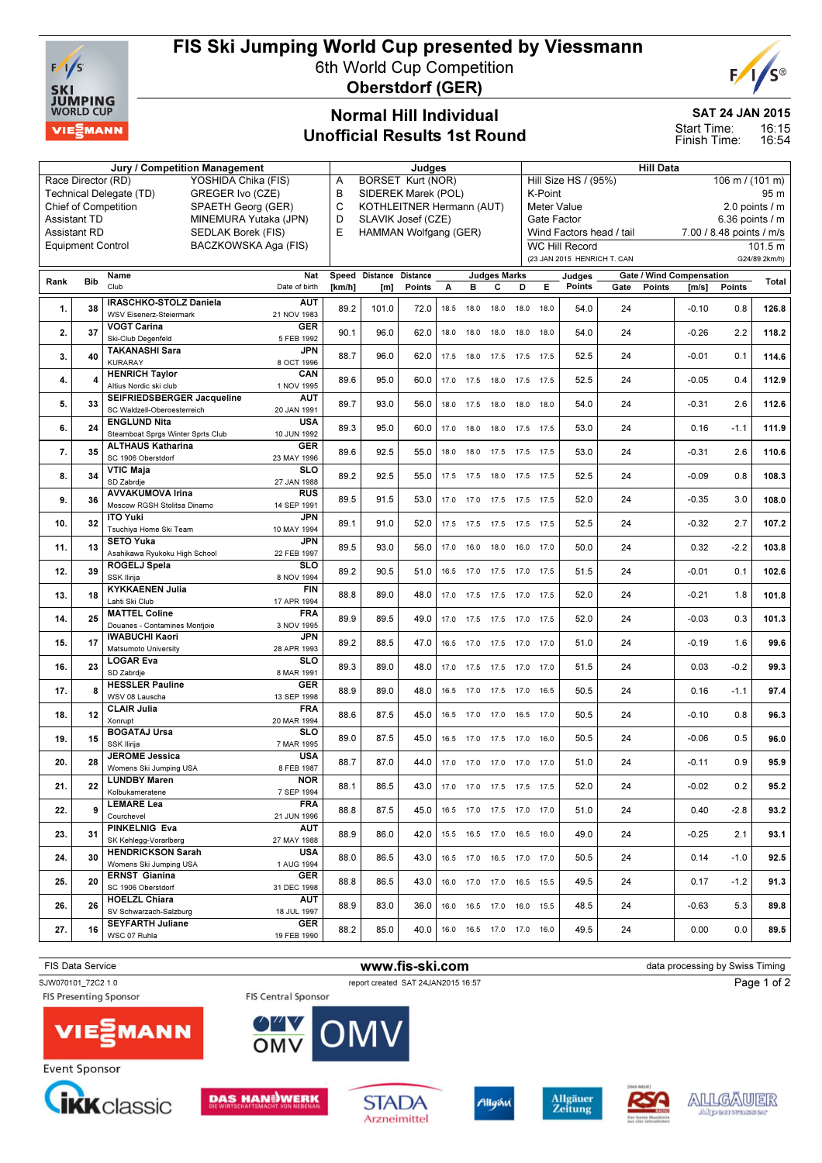

### FIS Ski Jumping World Cup presented by Viessmann

6th World Cup Competition Oberstdorf (GER)



### Normal Hill Individual Unofficial Results 1st Round

#### SAT 24 JAN 2015

16:15 16:54 Start Time: Finish Time:

|      |                          | Jury / Competition Management                                                       | <b>Judges</b>                 |                           |        |      |                |                     |                                         | <b>Hill Data</b>                 |                             |                          |        |                          |        |               |
|------|--------------------------|-------------------------------------------------------------------------------------|-------------------------------|---------------------------|--------|------|----------------|---------------------|-----------------------------------------|----------------------------------|-----------------------------|--------------------------|--------|--------------------------|--------|---------------|
|      | Race Director (RD)       | YOSHIDA Chika (FIS)                                                                 | <b>BORSET Kurt (NOR)</b><br>Α |                           |        |      |                |                     | Hill Size HS / (95%)<br>106 m / (101 m) |                                  |                             |                          |        |                          |        |               |
|      |                          | GREGER Ivo (CZE)<br>Technical Delegate (TD)                                         | в                             | SIDEREK Marek (POL)       |        |      |                |                     |                                         | 95 m<br>K-Point                  |                             |                          |        |                          |        |               |
|      |                          | <b>Chief of Competition</b><br>SPAETH Georg (GER)                                   | C                             | KOTHLEITNER Hermann (AUT) |        |      |                |                     |                                         | Meter Value<br>2.0 points / m    |                             |                          |        |                          |        |               |
|      | <b>Assistant TD</b>      | MINEMURA Yutaka (JPN)                                                               |                               | D<br>SLAVIK Josef (CZE)   |        |      |                |                     |                                         | Gate Factor<br>$6.36$ points / m |                             |                          |        |                          |        |               |
|      | <b>Assistant RD</b>      | SEDLAK Borek (FIS)                                                                  | E                             | HAMMAN Wolfgang (GER)     |        |      |                |                     |                                         |                                  |                             | Wind Factors head / tail |        | 7.00 / 8.48 points / m/s |        |               |
|      | <b>Equipment Control</b> | BACZKOWSKA Aga (FIS)                                                                |                               |                           |        |      |                |                     |                                         |                                  | <b>WC Hill Record</b>       |                          |        |                          |        | 101.5 m       |
|      |                          |                                                                                     |                               |                           |        |      |                |                     |                                         |                                  | (23 JAN 2015 HENRICH T. CAN |                          |        |                          |        | G24/89.2km/h) |
| Rank | <b>Bib</b>               | Name<br>Nat                                                                         |                               | Speed Distance Distance   |        |      |                | <b>Judges Marks</b> |                                         |                                  | Judges                      |                          |        | Gate / Wind Compensation |        | Total         |
|      |                          | Club<br>Date of birth                                                               | [km/h]                        | [m]                       | Points | А    | в              | с                   | D                                       | Е.                               | Points                      | Gate                     | Points | [m/s]                    | Points |               |
| 1.   | 38                       | IRASCHKO-STOLZ Daniela<br>AUT                                                       | 89.2                          | 101.0                     | 72.0   | 18.5 | 18.0           | 18.0                | 18.0                                    | 18.0                             | 54.0                        | 24                       |        | $-0.10$                  | 0.8    | 126.8         |
|      |                          | WSV Eisenerz-Steiermark<br>21 NOV 1983                                              |                               |                           |        |      |                |                     |                                         |                                  |                             |                          |        |                          |        |               |
| 2.   | 37                       | <b>VOGT Carina</b><br><b>GER</b><br>Ski-Club Degenfeld<br>5 FEB 1992                | 90.1                          | 96.0                      | 62.0   | 18.0 | 18.0           | 18.0                | 18.0                                    | 18.0                             | 54.0                        | 24                       |        | $-0.26$                  | 2.2    | 118.2         |
|      |                          | <b>TAKANASHI Sara</b><br><b>JPN</b>                                                 |                               |                           |        |      |                |                     |                                         |                                  |                             |                          |        |                          |        |               |
| 3.   | 40                       | <b>KURARAY</b><br>8 OCT 1996                                                        | 88.7                          | 96.0                      | 62.0   | 17.5 | 18.0           | 17.5                | 17.5                                    | 17.5                             | 52.5                        | 24                       |        | $-0.01$                  | 0.1    | 114.6         |
| 4.   | Δ                        | <b>HENRICH Taylor</b><br>CAN                                                        | 89.6                          | 95.0                      | 60.0   | 17.0 | 17.5           | 18.0                | 17.5                                    | 17.5                             | 52.5                        | 24                       |        | $-0.05$                  | 0.4    | 112.9         |
|      |                          | Altius Nordic ski club<br>1 NOV 1995                                                |                               |                           |        |      |                |                     |                                         |                                  |                             |                          |        |                          |        |               |
| 5.   | 33                       | SEIFRIEDSBERGER Jacqueline<br>AUT                                                   | 89.7                          | 93.0                      | 56.0   | 18.0 | 17.5           | 18.0                | 18.0                                    | 18.0                             | 54.0                        | 24                       |        | $-0.31$                  | 2.6    | 112.6         |
|      |                          | SC Waldzell-Oberoesterreich<br>20 JAN 1991<br><b>ENGLUND Nita</b><br><b>USA</b>     |                               |                           |        |      |                |                     |                                         |                                  |                             |                          |        |                          |        |               |
| 6.   | 24                       | Steamboat Sprgs Winter Sprts Club<br>10 JUN 1992                                    | 89.3                          | 95.0                      | 60.0   | 17.0 | 18.0           | 18.0                | 17.5 17.5                               |                                  | 53.0                        | 24                       |        | 0.16                     | $-1.1$ | 111.9         |
|      |                          | <b>ALTHAUS Katharina</b><br><b>GER</b>                                              |                               |                           |        |      |                |                     |                                         |                                  |                             |                          |        |                          |        |               |
| 7.   | 35                       | SC 1906 Oberstdorf<br>23 MAY 1996                                                   | 89.6                          | 92.5                      | 55.0   |      |                |                     | 18.0 18.0 17.5 17.5 17.5                |                                  | 53.0                        | 24                       |        | $-0.31$                  | 2.6    | 110.6         |
| 8.   | 34                       | <b>VTIC Maja</b><br><b>SLO</b>                                                      | 89.2                          | 92.5                      | 55.0   |      | 17.5 17.5 18.0 |                     | 17.5 17.5                               |                                  | 52.5                        | 24                       |        | $-0.09$                  | 0.8    | 108.3         |
|      |                          | SD Zabrdje<br>27 JAN 1988                                                           |                               |                           |        |      |                |                     |                                         |                                  |                             |                          |        |                          |        |               |
| 9.   | 36                       | <b>AVVAKUMOVA Irina</b><br><b>RUS</b><br>Moscow RGSH Stolitsa Dinamo<br>14 SEP 1991 | 89.5                          | 91.5                      | 53.0   |      | 17.0 17.0 17.5 |                     | 17.5 17.5                               |                                  | 52.0                        | 24                       |        | $-0.35$                  | 3.0    | 108.0         |
|      |                          | <b>ITO Yuki</b><br><b>JPN</b>                                                       |                               |                           |        |      |                |                     |                                         |                                  |                             |                          |        |                          |        |               |
| 10.  | 32                       | Tsuchiya Home Ski Team<br>10 MAY 1994                                               | 89.1                          | 91.0                      | 52.0   | 17.5 | 17.5           | 17.5                | 17.5 17.5                               |                                  | 52.5                        | 24                       |        | $-0.32$                  | 2.7    | 107.2         |
| 11.  | 13                       | <b>SETO Yuka</b><br>JPN                                                             | 89.5                          | 93.0                      | 56.0   | 17.0 | 16.0           | 18.0                | 16.0                                    | 17.0                             | 50.0                        | 24                       |        | 0.32                     | $-2.2$ | 103.8         |
|      |                          | Asahikawa Ryukoku High School<br>22 FEB 1997                                        |                               |                           |        |      |                |                     |                                         |                                  |                             |                          |        |                          |        |               |
| 12.  | 39                       | <b>SLO</b><br>ROGELJ Spela                                                          | 89.2                          | 90.5                      | 51.0   | 16.5 | 17.0           | 17.5                | 17.0                                    | 17.5                             | 51.5                        | 24                       |        | $-0.01$                  | 0.1    | 102.6         |
|      |                          | SSK Ilirija<br>8 NOV 1994<br><b>KYKKAENEN Julia</b><br><b>FIN</b>                   |                               |                           |        |      |                |                     |                                         |                                  |                             |                          |        |                          |        |               |
| 13.  | 18                       | Lahti Ski Club<br>17 APR 1994                                                       | 88.8                          | 89.0                      | 48.0   | 17.0 | 17.5           | 17.5                | 17.0                                    | 17.5                             | 52.0                        | 24                       |        | $-0.21$                  | 1.8    | 101.8         |
| 14.  | 25                       | <b>MATTEL Coline</b><br><b>FRA</b>                                                  | 89.9                          | 89.5                      | 49.0   |      |                |                     |                                         |                                  | 52.0                        | 24                       |        | $-0.03$                  | 0.3    | 101.3         |
|      |                          | Douanes - Contamines Montjoie<br>3 NOV 1995                                         |                               |                           |        | 17.0 | 17.5           | 17.5                | 17.0                                    | 17.5                             |                             |                          |        |                          |        |               |
| 15.  | 17                       | <b>IWABUCHI Kaori</b><br><b>JPN</b>                                                 | 89.2                          | 88.5                      | 47.0   |      |                | 16.5 17.0 17.5 17.0 |                                         | 17.0                             | 51.0                        | 24                       |        | $-0.19$                  | 1.6    | 99.6          |
|      |                          | Matsumoto University<br>28 APR 1993<br><b>LOGAR Eva</b><br>SLO                      |                               |                           |        |      |                |                     |                                         |                                  |                             |                          |        |                          |        |               |
| 16.  | 23                       | SD Zabrdje<br>8 MAR 1991                                                            | 89.3                          | 89.0                      | 48.0   |      |                |                     | 17.0  17.5  17.5  17.0  17.0            |                                  | 51.5                        | 24                       |        | 0.03                     | $-0.2$ | 99.3          |
| 17.  | 8                        | <b>HESSLER Pauline</b><br><b>GER</b>                                                | 88.9                          | 89.0                      | 48.0   |      |                |                     |                                         | 16.5                             | 50.5                        | 24                       |        | 0.16                     | $-1.1$ | 97.4          |
|      |                          | WSV 08 Lauscha<br>13 SEP 1998                                                       |                               |                           |        |      |                | 16.5 17.0 17.5 17.0 |                                         |                                  |                             |                          |        |                          |        |               |
| 18.  | 12                       | <b>CLAIR Julia</b><br><b>FRA</b>                                                    | 88.6                          | 87.5                      | 45.0   |      | 16.5 17.0      | 17.0                | 16.5 17.0                               |                                  | 50.5                        | 24                       |        | $-0.10$                  | 0.8    | 96.3          |
|      |                          | 20 MAR 1994<br>Xonrupt<br><b>BOGATAJ Ursa</b><br><b>SLO</b>                         |                               |                           |        |      |                |                     |                                         |                                  |                             |                          |        |                          |        |               |
| 19.  | 15                       | SSK Ilirija<br>7 MAR 1995                                                           | 89.0                          | 87.5                      | 45.0   |      | 16.5 17.0      | 17.5                | 17.0                                    | 16.0                             | 50.5                        | 24                       |        | $-0.06$                  | 0.5    | 96.0          |
|      |                          | <b>JEROME Jessica</b><br><b>USA</b>                                                 |                               | 87.0                      |        |      |                |                     |                                         |                                  |                             |                          |        |                          |        |               |
| 20.  | 28                       | 8 FEB 1987<br>Womens Ski Jumping USA                                                | 88.7                          |                           | 44.0   |      | 17.0 17.0 17.0 |                     | 17.0                                    | 17.0                             | 51.0                        | 24                       |        | $-0.11$                  | 0.9    | 95.9          |
| 21.  | 22                       | <b>NOR</b><br><b>LUNDBY Maren</b>                                                   | 88.1                          | 86.5                      | 43.0   |      |                |                     | 17.0 17.0 17.5 17.5 17.5                |                                  | 52.0                        | 24                       |        | $-0.02$                  | 0.2    | 95.2          |
|      |                          | Kolbukameratene<br>7 SEP 1994<br><b>LEMARE Lea</b><br><b>FRA</b>                    |                               |                           |        |      |                |                     |                                         |                                  |                             |                          |        |                          |        |               |
| 22.  | 9                        | Courchevel<br>21 JUN 1996                                                           | 88.8                          | 87.5                      | 45.0   |      |                |                     | 16.5 17.0 17.5 17.0 17.0                |                                  | 51.0                        | 24                       |        | 0.40                     | $-2.8$ | 93.2          |
|      |                          | PINKELNIG Eva<br><b>AUT</b>                                                         |                               |                           |        |      |                |                     |                                         |                                  |                             |                          |        |                          |        |               |
| 23.  | 31                       | SK Kehlegg-Vorarlberg<br>27 MAY 1988                                                | 88.9                          | 86.0                      | 42.0   |      |                |                     | 15.5 16.5 17.0 16.5 16.0                |                                  | 49.0                        | 24                       |        | $-0.25$                  | 2.1    | 93.1          |
| 24.  | 30                       | <b>HENDRICKSON Sarah</b><br><b>USA</b>                                              | 88.0                          | 86.5                      | 43.0   |      |                |                     | 16.5 17.0 16.5 17.0 17.0                |                                  | 50.5                        | 24                       |        | 0.14                     | $-1.0$ | 92.5          |
|      |                          | Womens Ski Jumping USA<br>1 AUG 1994                                                |                               |                           |        |      |                |                     |                                         |                                  |                             |                          |        |                          |        |               |
| 25.  | 20                       | <b>ERNST Gianina</b><br><b>GER</b><br>SC 1906 Oberstdorf<br>31 DEC 1998             | 88.8                          | 86.5                      | 43.0   |      |                |                     | 16.0 17.0 17.0 16.5 15.5                |                                  | 49.5                        | 24                       |        | 0.17                     | $-1.2$ | 91.3          |
|      |                          | <b>HOELZL Chiara</b><br>AUT                                                         |                               |                           |        |      |                |                     |                                         |                                  |                             |                          |        |                          |        |               |
| 26.  | 26                       | SV Schwarzach-Salzburg<br>18 JUL 1997                                               | 88.9                          | 83.0                      | 36.0   |      |                |                     | 16.0  16.5  17.0  16.0  15.5            |                                  | 48.5                        | 24                       |        | $-0.63$                  | 5.3    | 89.8          |
| 27.  | 16                       | <b>SEYFARTH Juliane</b><br><b>GER</b>                                               | 88.2                          | 85.0                      | 40.0   |      |                |                     | 16.0  16.5  17.0  17.0  16.0            |                                  | 49.5                        | 24                       |        | 0.00                     | 0.0    | 89.5          |
|      |                          | WSC 07 Ruhla<br>19 FEB 1990                                                         |                               |                           |        |      |                |                     |                                         |                                  |                             |                          |        |                          |        |               |
|      |                          |                                                                                     |                               |                           |        |      |                |                     |                                         |                                  |                             |                          |        |                          |        |               |











Allgåu